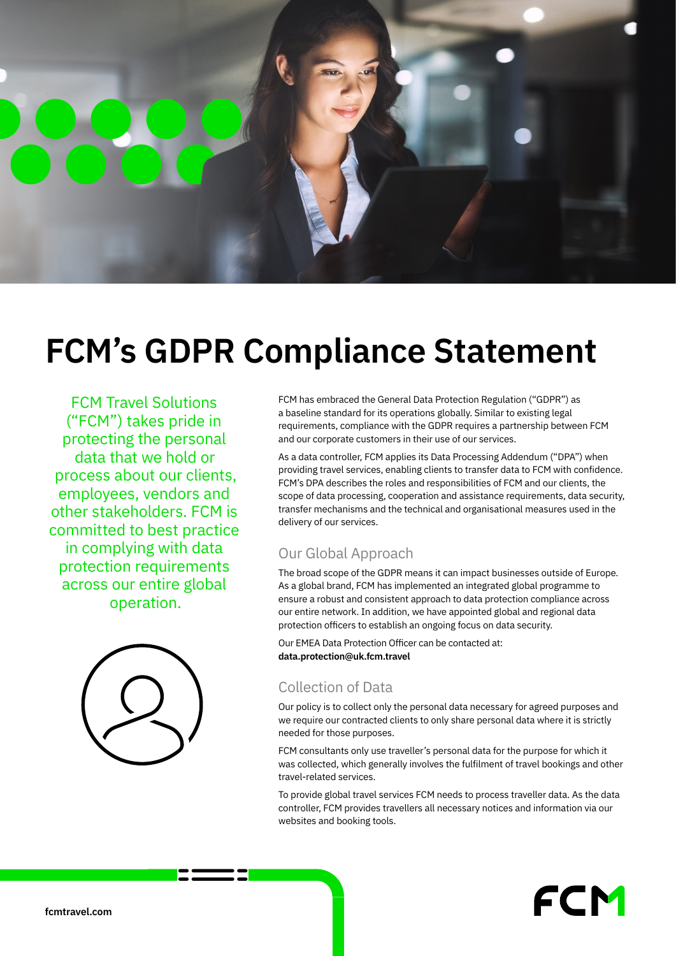

# **FCM's GDPR Compliance Statement**

FCM Travel Solutions ("FCM") takes pride in protecting the personal data that we hold or process about our clients, employees, vendors and other stakeholders. FCM is committed to best practice in complying with data protection requirements across our entire global operation.



FCM has embraced the General Data Protection Regulation ("GDPR") as a baseline standard for its operations globally. Similar to existing legal requirements, compliance with the GDPR requires a partnership between FCM and our corporate customers in their use of our services.

As a data controller, FCM applies its Data Processing Addendum ("DPA") when providing travel services, enabling clients to transfer data to FCM with confidence. FCM's DPA describes the roles and responsibilities of FCM and our clients, the scope of data processing, cooperation and assistance requirements, data security, transfer mechanisms and the technical and organisational measures used in the delivery of our services.

### Our Global Approach

The broad scope of the GDPR means it can impact businesses outside of Europe. As a global brand, FCM has implemented an integrated global programme to ensure a robust and consistent approach to data protection compliance across our entire network. In addition, we have appointed global and regional data protection officers to establish an ongoing focus on data security.

Our EMEA Data Protection Officer can be contacted at: **data.protection@uk.fcm.travel**

### Collection of Data

**Max** Section 1

Our policy is to collect only the personal data necessary for agreed purposes and we require our contracted clients to only share personal data where it is strictly needed for those purposes.

FCM consultants only use traveller's personal data for the purpose for which it was collected, which generally involves the fulfilment of travel bookings and other travel-related services.

To provide global travel services FCM needs to process traveller data. As the data controller, FCM provides travellers all necessary notices and information via our websites and booking tools.

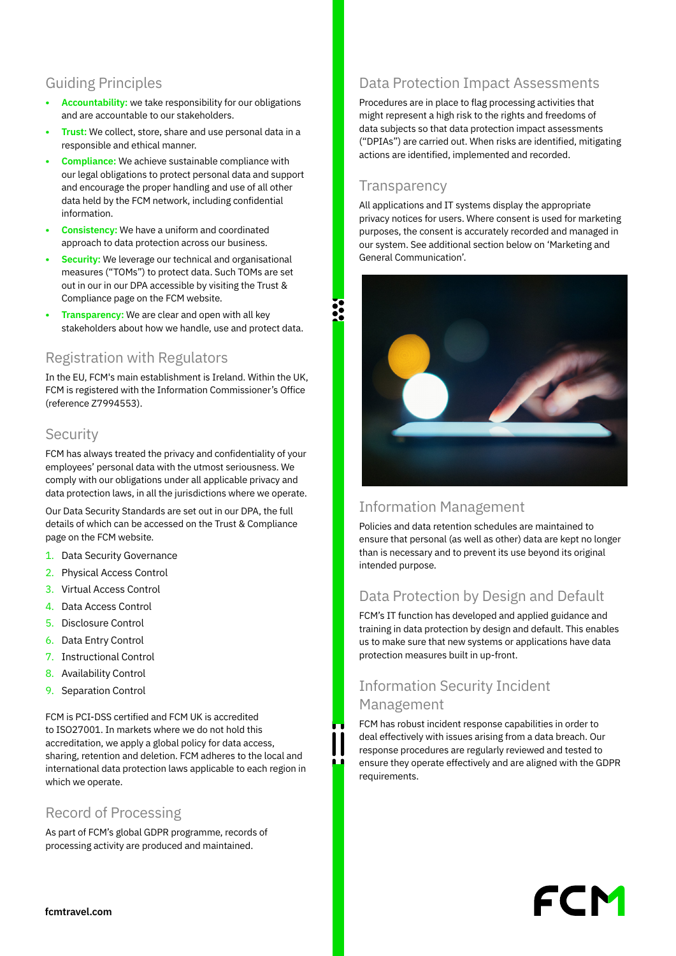## Guiding Principles

- **• Accountability:** we take responsibility for our obligations and are accountable to our stakeholders.
- **• Trust:** We collect, store, share and use personal data in a responsible and ethical manner.
- **• Compliance:** We achieve sustainable compliance with our legal obligations to protect personal data and support and encourage the proper handling and use of all other data held by the FCM network, including confidential information.
- **• Consistency:** We have a uniform and coordinated approach to data protection across our business.
- **• Security:** We leverage our technical and organisational measures ("TOMs") to protect data. Such TOMs are set out in our in our DPA accessible by visiting the Trust & Compliance page on the FCM website.
- **• Transparency:** We are clear and open with all key stakeholders about how we handle, use and protect data.

### Registration with Regulators

In the EU, FCM's main establishment is Ireland. Within the UK, FCM is registered with the Information Commissioner's Office (reference Z7994553).

#### **Security**

FCM has always treated the privacy and confidentiality of your employees' personal data with the utmost seriousness. We comply with our obligations under all applicable privacy and data protection laws, in all the jurisdictions where we operate.

Our Data Security Standards are set out in our DPA, the full details of which can be accessed on the Trust & Compliance page on the FCM website.

- 1. Data Security Governance
- 2. Physical Access Control
- 3. Virtual Access Control
- 4. Data Access Control
- 5. Disclosure Control
- 6. Data Entry Control
- 7. Instructional Control
- 8. Availability Control
- 9. Separation Control

FCM is PCI-DSS certified and FCM UK is accredited to ISO27001. In markets where we do not hold this accreditation, we apply a global policy for data access, sharing, retention and deletion. FCM adheres to the local and international data protection laws applicable to each region in which we operate.

#### Record of Processing

As part of FCM's global GDPR programme, records of processing activity are produced and maintained.

# Data Protection Impact Assessments

Procedures are in place to flag processing activities that might represent a high risk to the rights and freedoms of data subjects so that data protection impact assessments ("DPIAs") are carried out. When risks are identified, mitigating actions are identified, implemented and recorded.

#### **Transparency**

All applications and IT systems display the appropriate privacy notices for users. Where consent is used for marketing purposes, the consent is accurately recorded and managed in our system. See additional section below on 'Marketing and General Communication'.



### Information Management

Policies and data retention schedules are maintained to ensure that personal (as well as other) data are kept no longer than is necessary and to prevent its use beyond its original intended purpose.

# Data Protection by Design and Default

FCM's IT function has developed and applied guidance and training in data protection by design and default. This enables us to make sure that new systems or applications have data protection measures built in up-front.

## Information Security Incident Management

FCM has robust incident response capabilities in order to deal effectively with issues arising from a data breach. Our response procedures are regularly reviewed and tested to ensure they operate effectively and are aligned with the GDPR requirements.